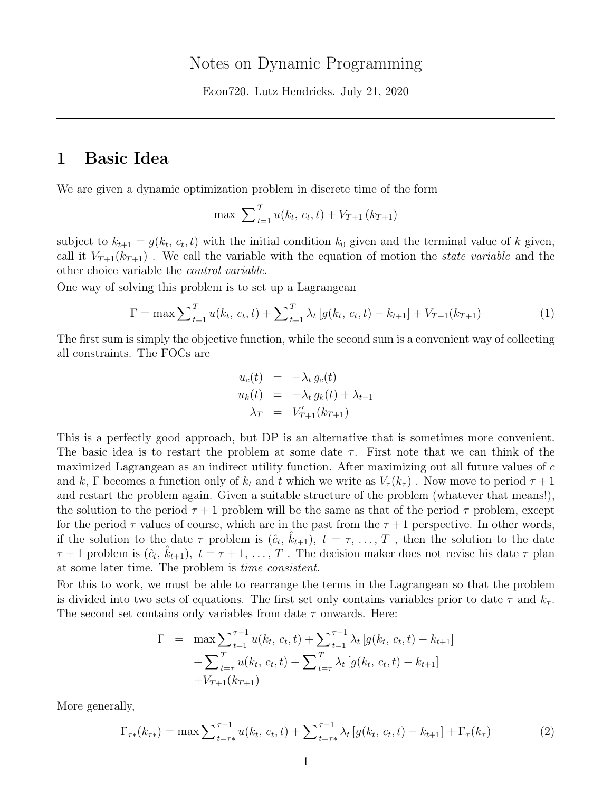Econ720. Lutz Hendricks. July 21, 2020

# 1 Basic Idea

We are given a dynamic optimization problem in discrete time of the form

$$
\max \sum_{t=1}^{T} u(k_t, c_t, t) + V_{T+1}(k_{T+1})
$$

subject to  $k_{t+1} = g(k_t, c_t, t)$  with the initial condition  $k_0$  given and the terminal value of k given, call it  $V_{T+1}(k_{T+1})$ . We call the variable with the equation of motion the *state variable* and the other choice variable the control variable.

One way of solving this problem is to set up a Lagrangean

$$
\Gamma = \max \sum_{t=1}^{T} u(k_t, c_t, t) + \sum_{t=1}^{T} \lambda_t \left[ g(k_t, c_t, t) - k_{t+1} \right] + V_{T+1}(k_{T+1})
$$
\n(1)

The first sum is simply the objective function, while the second sum is a convenient way of collecting all constraints. The FOCs are

$$
u_c(t) = -\lambda_t g_c(t)
$$
  
\n
$$
u_k(t) = -\lambda_t g_k(t) + \lambda_{t-1}
$$
  
\n
$$
\lambda_T = V'_{T+1}(k_{T+1})
$$

This is a perfectly good approach, but DP is an alternative that is sometimes more convenient. The basic idea is to restart the problem at some date  $\tau$ . First note that we can think of the maximized Lagrangean as an indirect utility function. After maximizing out all future values of c and k, Γ becomes a function only of  $k_t$  and t which we write as  $V_\tau(k_\tau)$ . Now move to period  $\tau+1$ and restart the problem again. Given a suitable structure of the problem (whatever that means!), the solution to the period  $\tau + 1$  problem will be the same as that of the period  $\tau$  problem, except for the period  $\tau$  values of course, which are in the past from the  $\tau+1$  perspective. In other words, if the solution to the date  $\tau$  problem is  $(\hat{c}_t, \hat{k}_{t+1}), t = \tau, \ldots, T$ , then the solution to the date  $\tau+1$  problem is  $(\hat{c}_t, \hat{k}_{t+1}), t = \tau+1, \ldots, T$ . The decision maker does not revise his date  $\tau$  plan at some later time. The problem is time consistent.

For this to work, we must be able to rearrange the terms in the Lagrangean so that the problem is divided into two sets of equations. The first set only contains variables prior to date  $\tau$  and  $k_{\tau}$ . The second set contains only variables from date  $\tau$  onwards. Here:

$$
\Gamma = \max \sum_{t=1}^{\tau-1} u(k_t, c_t, t) + \sum_{t=1}^{\tau-1} \lambda_t [g(k_t, c_t, t) - k_{t+1}]
$$
  
+ 
$$
\sum_{t=\tau}^T u(k_t, c_t, t) + \sum_{t=\tau}^T \lambda_t [g(k_t, c_t, t) - k_{t+1}]
$$
  
+ 
$$
V_{T+1}(k_{T+1})
$$

More generally,

$$
\Gamma_{\tau*}(k_{\tau*}) = \max \sum_{t=\tau*}^{\tau-1} u(k_t, c_t, t) + \sum_{t=\tau*}^{\tau-1} \lambda_t \left[ g(k_t, c_t, t) - k_{t+1} \right] + \Gamma_{\tau}(k_{\tau})
$$
(2)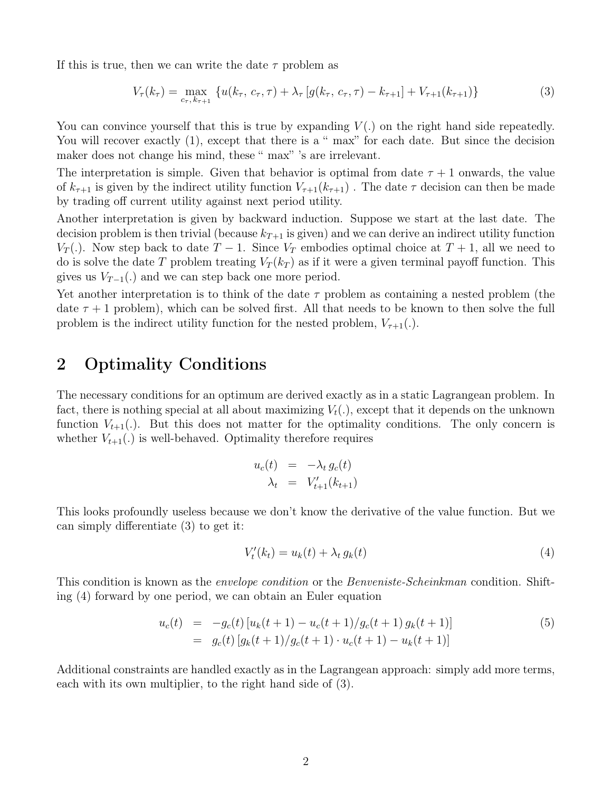If this is true, then we can write the date  $\tau$  problem as

$$
V_{\tau}(k_{\tau}) = \max_{c_{\tau}, k_{\tau+1}} \{ u(k_{\tau}, c_{\tau}, \tau) + \lambda_{\tau} \left[ g(k_{\tau}, c_{\tau}, \tau) - k_{\tau+1} \right] + V_{\tau+1}(k_{\tau+1}) \}
$$
(3)

You can convince yourself that this is true by expanding  $V(.)$  on the right hand side repeatedly. You will recover exactly  $(1)$ , except that there is a " max" for each date. But since the decision maker does not change his mind, these " max" 's are irrelevant.

The interpretation is simple. Given that behavior is optimal from date  $\tau + 1$  onwards, the value of  $k_{\tau+1}$  is given by the indirect utility function  $V_{\tau+1}(k_{\tau+1})$ . The date  $\tau$  decision can then be made by trading off current utility against next period utility.

Another interpretation is given by backward induction. Suppose we start at the last date. The decision problem is then trivial (because  $k_{T+1}$  is given) and we can derive an indirect utility function  $V_T(.)$ . Now step back to date  $T-1$ . Since  $V_T$  embodies optimal choice at  $T+1$ , all we need to do is solve the date T problem treating  $V_T(k_T)$  as if it were a given terminal payoff function. This gives us  $V_{T-1}(.)$  and we can step back one more period.

Yet another interpretation is to think of the date  $\tau$  problem as containing a nested problem (the date  $\tau$  + 1 problem), which can be solved first. All that needs to be known to then solve the full problem is the indirect utility function for the nested problem,  $V_{\tau+1}(.)$ .

# 2 Optimality Conditions

The necessary conditions for an optimum are derived exactly as in a static Lagrangean problem. In fact, there is nothing special at all about maximizing  $V_t(.)$ , except that it depends on the unknown function  $V_{t+1}$ . But this does not matter for the optimality conditions. The only concern is whether  $V_{t+1}(.)$  is well-behaved. Optimality therefore requires

$$
u_c(t) = -\lambda_t g_c(t)
$$
  

$$
\lambda_t = V'_{t+1}(k_{t+1})
$$

This looks profoundly useless because we don't know the derivative of the value function. But we can simply differentiate (3) to get it:

$$
V'_{t}(k_{t}) = u_{k}(t) + \lambda_{t} g_{k}(t)
$$
\n
$$
\tag{4}
$$

This condition is known as the *envelope condition* or the *Benveniste-Scheinkman* condition. Shifting (4) forward by one period, we can obtain an Euler equation

$$
u_c(t) = -g_c(t) [u_k(t+1) - u_c(t+1)/g_c(t+1) g_k(t+1)]
$$
\n
$$
= g_c(t) [g_k(t+1)/g_c(t+1) \cdot u_c(t+1) - u_k(t+1)]
$$
\n(5)

Additional constraints are handled exactly as in the Lagrangean approach: simply add more terms, each with its own multiplier, to the right hand side of (3).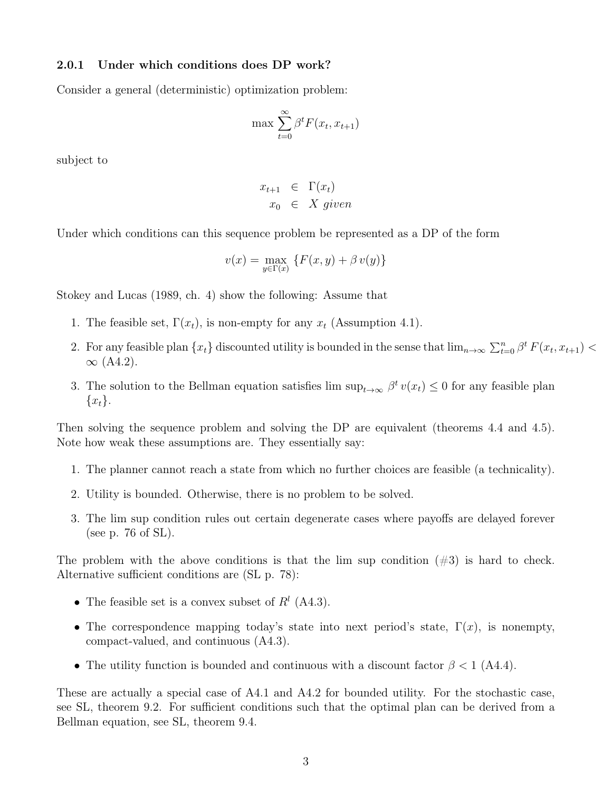#### 2.0.1 Under which conditions does DP work?

Consider a general (deterministic) optimization problem:

$$
\max \sum_{t=0}^{\infty} \beta^t F(x_t, x_{t+1})
$$

subject to

$$
x_{t+1} \in \Gamma(x_t)
$$
  

$$
x_0 \in X \text{ given}
$$

Under which conditions can this sequence problem be represented as a DP of the form

$$
v(x) = \max_{y \in \Gamma(x)} \{ F(x, y) + \beta v(y) \}
$$

Stokey and Lucas (1989, ch. 4) show the following: Assume that

- 1. The feasible set,  $\Gamma(x_t)$ , is non-empty for any  $x_t$  (Assumption 4.1).
- 2. For any feasible plan  $\{x_t\}$  discounted utility is bounded in the sense that  $\lim_{n\to\infty}\sum_{t=0}^n\beta^t F(x_t, x_{t+1})$  $\infty$  (A4.2).
- 3. The solution to the Bellman equation satisfies lim  $\sup_{t\to\infty} \beta^t v(x_t) \leq 0$  for any feasible plan  $\{x_t\}.$

Then solving the sequence problem and solving the DP are equivalent (theorems 4.4 and 4.5). Note how weak these assumptions are. They essentially say:

- 1. The planner cannot reach a state from which no further choices are feasible (a technicality).
- 2. Utility is bounded. Otherwise, there is no problem to be solved.
- 3. The lim sup condition rules out certain degenerate cases where payoffs are delayed forever (see p. 76 of SL).

The problem with the above conditions is that the lim sup condition  $(\#3)$  is hard to check. Alternative sufficient conditions are (SL p. 78):

- The feasible set is a convex subset of  $R<sup>l</sup>$  (A4.3).
- The correspondence mapping today's state into next period's state,  $\Gamma(x)$ , is nonempty, compact-valued, and continuous (A4.3).
- The utility function is bounded and continuous with a discount factor  $\beta < 1$  (A4.4).

These are actually a special case of A4.1 and A4.2 for bounded utility. For the stochastic case, see SL, theorem 9.2. For sufficient conditions such that the optimal plan can be derived from a Bellman equation, see SL, theorem 9.4.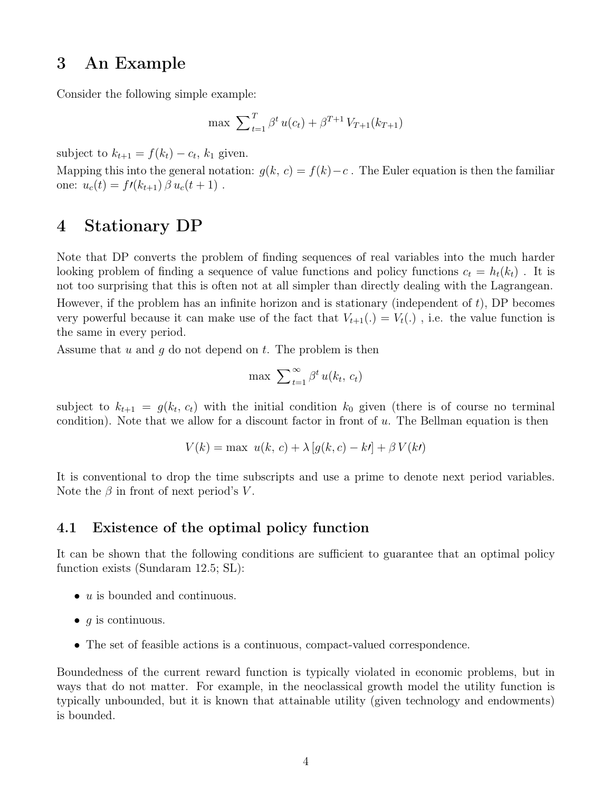## 3 An Example

Consider the following simple example:

$$
\max \ \sum_{t=1}^{T} \beta^t \, u(c_t) + \beta^{T+1} \, V_{T+1}(k_{T+1})
$$

subject to  $k_{t+1} = f(k_t) - c_t$ ,  $k_1$  given.

Mapping this into the general notation:  $q(k, c) = f(k) - c$ . The Euler equation is then the familiar one:  $u_c(t) = f(k_{t+1}) \beta u_c(t+1)$ .

## 4 Stationary DP

Note that DP converts the problem of finding sequences of real variables into the much harder looking problem of finding a sequence of value functions and policy functions  $c_t = h_t(k_t)$ . It is not too surprising that this is often not at all simpler than directly dealing with the Lagrangean.

However, if the problem has an infinite horizon and is stationary (independent of  $t$ ), DP becomes very powerful because it can make use of the fact that  $V_{t+1}(.) = V_t(.)$ , i.e. the value function is the same in every period.

Assume that u and q do not depend on t. The problem is then

$$
\max \sum_{t=1}^{\infty} \beta^t u(k_t, c_t)
$$

subject to  $k_{t+1} = g(k_t, c_t)$  with the initial condition  $k_0$  given (there is of course no terminal condition). Note that we allow for a discount factor in front of  $u$ . The Bellman equation is then

$$
V(k) = \max u(k, c) + \lambda [g(k, c) - kl] + \beta V(k)
$$

It is conventional to drop the time subscripts and use a prime to denote next period variables. Note the  $\beta$  in front of next period's V.

### 4.1 Existence of the optimal policy function

It can be shown that the following conditions are sufficient to guarantee that an optimal policy function exists (Sundaram 12.5; SL):

- $\bullet$  u is bounded and continuous.
- $q$  is continuous.
- The set of feasible actions is a continuous, compact-valued correspondence.

Boundedness of the current reward function is typically violated in economic problems, but in ways that do not matter. For example, in the neoclassical growth model the utility function is typically unbounded, but it is known that attainable utility (given technology and endowments) is bounded.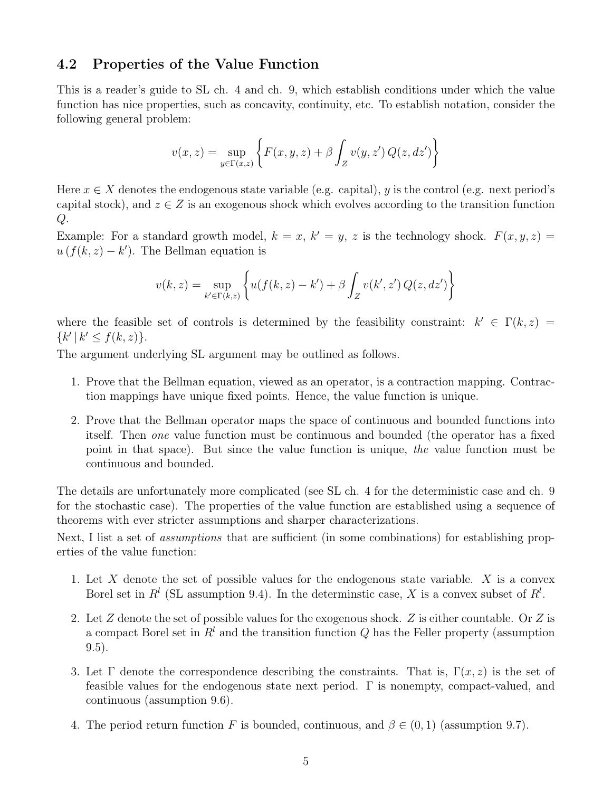### 4.2 Properties of the Value Function

This is a reader's guide to SL ch. 4 and ch. 9, which establish conditions under which the value function has nice properties, such as concavity, continuity, etc. To establish notation, consider the following general problem:

$$
v(x,z) = \sup_{y \in \Gamma(x,z)} \left\{ F(x,y,z) + \beta \int_Z v(y,z') Q(z,dz') \right\}
$$

Here  $x \in X$  denotes the endogenous state variable (e.g. capital), y is the control (e.g. next period's capital stock), and  $z \in Z$  is an exogenous shock which evolves according to the transition function Q.

Example: For a standard growth model,  $k = x, k' = y, z$  is the technology shock.  $F(x, y, z) =$  $u(f(k, z) - k')$ . The Bellman equation is

$$
v(k, z) = \sup_{k' \in \Gamma(k, z)} \left\{ u(f(k, z) - k') + \beta \int_{Z} v(k', z') Q(z, dz') \right\}
$$

where the feasible set of controls is determined by the feasibility constraint:  $k' \in \Gamma(k, z)$  ${k' | k' \le f(k, z)}.$ 

The argument underlying SL argument may be outlined as follows.

- 1. Prove that the Bellman equation, viewed as an operator, is a contraction mapping. Contraction mappings have unique fixed points. Hence, the value function is unique.
- 2. Prove that the Bellman operator maps the space of continuous and bounded functions into itself. Then one value function must be continuous and bounded (the operator has a fixed point in that space). But since the value function is unique, the value function must be continuous and bounded.

The details are unfortunately more complicated (see SL ch. 4 for the deterministic case and ch. 9 for the stochastic case). The properties of the value function are established using a sequence of theorems with ever stricter assumptions and sharper characterizations.

Next, I list a set of *assumptions* that are sufficient (in some combinations) for establishing properties of the value function:

- 1. Let X denote the set of possible values for the endogenous state variable. X is a convex Borel set in  $R^l$  (SL assumption 9.4). In the determinstic case, X is a convex subset of  $R^l$ .
- 2. Let Z denote the set of possible values for the exogenous shock. Z is either countable. Or Z is a compact Borel set in  $R<sup>l</sup>$  and the transition function Q has the Feller property (assumption 9.5).
- 3. Let  $\Gamma$  denote the correspondence describing the constraints. That is,  $\Gamma(x, z)$  is the set of feasible values for the endogenous state next period. Γ is nonempty, compact-valued, and continuous (assumption 9.6).
- 4. The period return function F is bounded, continuous, and  $\beta \in (0,1)$  (assumption 9.7).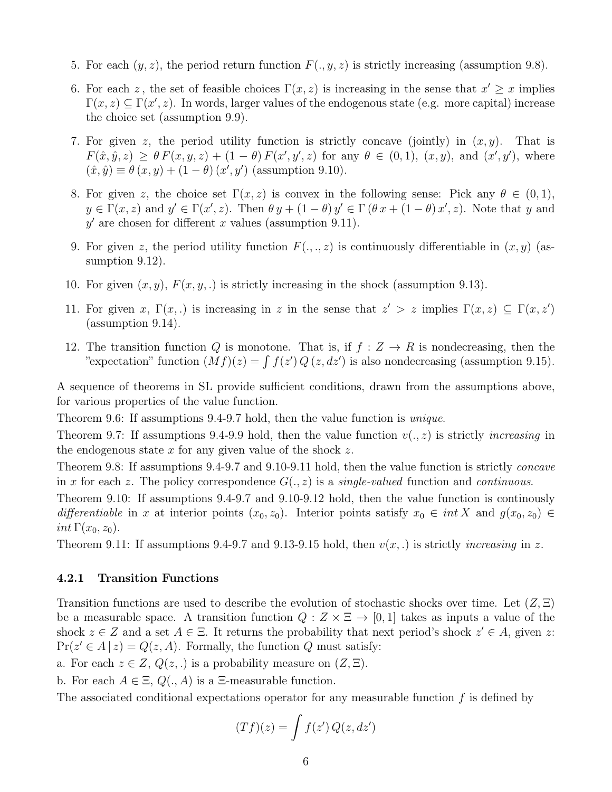- 5. For each  $(y, z)$ , the period return function  $F(., y, z)$  is strictly increasing (assumption 9.8).
- 6. For each z, the set of feasible choices  $\Gamma(x, z)$  is increasing in the sense that  $x' \geq x$  implies  $\Gamma(x, z) \subseteq \Gamma(x', z)$ . In words, larger values of the endogenous state (e.g. more capital) increase the choice set (assumption 9.9).
- 7. For given z, the period utility function is strictly concave (jointly) in  $(x, y)$ . That is  $F(\hat{x}, \hat{y}, z) \ge \theta F(x, y, z) + (1 - \theta) F(x', y', z)$  for any  $\theta \in (0, 1), (x, y),$  and  $(x', y')$ , where  $(\hat{x}, \hat{y}) \equiv \theta(x, y) + (1 - \theta)(x', y')$  (assumption 9.10).
- 8. For given z, the choice set  $\Gamma(x, z)$  is convex in the following sense: Pick any  $\theta \in (0, 1)$ ,  $y \in \Gamma(x, z)$  and  $y' \in \Gamma(x', z)$ . Then  $\theta y + (1 - \theta) y' \in \Gamma(\theta x + (1 - \theta) x', z)$ . Note that y and  $y'$  are chosen for different x values (assumption 9.11).
- 9. For given z, the period utility function  $F(., ., z)$  is continuously differentiable in  $(x, y)$  (assumption  $9.12$ ).
- 10. For given  $(x, y)$ ,  $F(x, y, ...)$  is strictly increasing in the shock (assumption 9.13).
- 11. For given x,  $\Gamma(x,.)$  is increasing in z in the sense that  $z' > z$  implies  $\Gamma(x, z) \subseteq \Gamma(x, z')$ (assumption 9.14).
- 12. The transition function Q is monotone. That is, if  $f: Z \to R$  is nondecreasing, then the "expectation" function  $(Mf)(z) = \int f(z') Q(z, dz')$  is also nondecreasing (assumption 9.15).

A sequence of theorems in SL provide sufficient conditions, drawn from the assumptions above, for various properties of the value function.

Theorem 9.6: If assumptions 9.4-9.7 hold, then the value function is unique.

Theorem 9.7: If assumptions 9.4-9.9 hold, then the value function  $v(., z)$  is strictly *increasing* in the endogenous state  $x$  for any given value of the shock  $z$ .

Theorem 9.8: If assumptions 9.4-9.7 and 9.10-9.11 hold, then the value function is strictly concave in x for each z. The policy correspondence  $G(., z)$  is a *single-valued* function and *continuous*.

Theorem 9.10: If assumptions 9.4-9.7 and 9.10-9.12 hold, then the value function is continously differentiable in x at interior points  $(x_0, z_0)$ . Interior points satisfy  $x_0 \in int X$  and  $g(x_0, z_0) \in$ int  $\Gamma(x_0, z_0)$ .

Theorem 9.11: If assumptions 9.4-9.7 and 9.13-9.15 hold, then  $v(x,.)$  is strictly *increasing* in z.

### 4.2.1 Transition Functions

Transition functions are used to describe the evolution of stochastic shocks over time. Let  $(Z,\Xi)$ be a measurable space. A transition function  $Q: Z \times \Xi \rightarrow [0, 1]$  takes as inputs a value of the shock  $z \in Z$  and a set  $A \in \Xi$ . It returns the probability that next period's shock  $z' \in A$ , given z:  $Pr(z' \in A | z) = Q(z, A)$ . Formally, the function Q must satisfy:

a. For each  $z \in Z$ ,  $Q(z,.)$  is a probability measure on  $(Z,\Xi)$ .

b. For each  $A \in \Xi$ ,  $Q(., A)$  is a  $\Xi$ -measurable function.

The associated conditional expectations operator for any measurable function  $f$  is defined by

$$
(Tf)(z) = \int f(z') Q(z, dz')
$$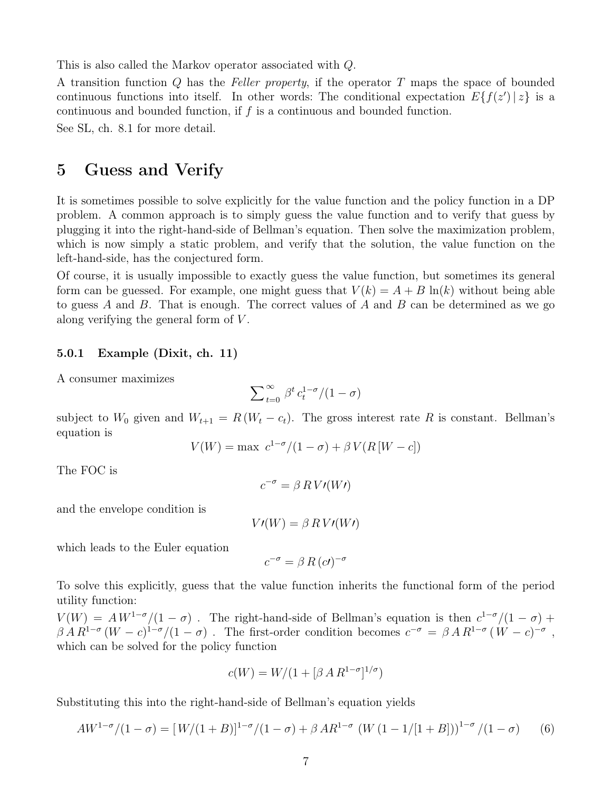This is also called the Markov operator associated with Q.

A transition function Q has the Feller property, if the operator T maps the space of bounded continuous functions into itself. In other words: The conditional expectation  $E\{f(z') | z\}$  is a continuous and bounded function, if f is a continuous and bounded function.

See SL, ch. 8.1 for more detail.

## 5 Guess and Verify

It is sometimes possible to solve explicitly for the value function and the policy function in a DP problem. A common approach is to simply guess the value function and to verify that guess by plugging it into the right-hand-side of Bellman's equation. Then solve the maximization problem, which is now simply a static problem, and verify that the solution, the value function on the left-hand-side, has the conjectured form.

Of course, it is usually impossible to exactly guess the value function, but sometimes its general form can be guessed. For example, one might guess that  $V(k) = A + B \ln(k)$  without being able to guess  $A$  and  $B$ . That is enough. The correct values of  $A$  and  $B$  can be determined as we go along verifying the general form of V .

#### 5.0.1 Example (Dixit, ch. 11)

A consumer maximizes

$$
\sum\nolimits_{t = 0}^\infty \, {\beta^t} \, {c_t^{1 - \sigma}}/{(1 - \sigma)}
$$

subject to  $W_0$  given and  $W_{t+1} = R(W_t - c_t)$ . The gross interest rate R is constant. Bellman's equation is

$$
V(W) = \max \ c^{1-\sigma}/(1-\sigma) + \beta V(R[W-c])
$$

The FOC is

$$
c^{-\sigma} = \beta \, R \, V \prime(W \prime)
$$

and the envelope condition is

$$
V\prime(W) = \beta \, R \, V\prime(W\prime)
$$

which leads to the Euler equation

$$
c^{-\sigma} = \beta R (c \prime)^{-\sigma}
$$

To solve this explicitly, guess that the value function inherits the functional form of the period utility function:

 $V(W) = AW^{1-\sigma}/(1-\sigma)$ . The right-hand-side of Bellman's equation is then  $c^{1-\sigma}/(1-\sigma)$  +  $\beta A R^{1-\sigma} (W-c)^{1-\sigma}/(1-\sigma)$ . The first-order condition becomes  $c^{-\sigma} = \beta A R^{1-\sigma} (W-c)^{-\sigma}$ , which can be solved for the policy function

$$
c(W) = W/(1 + [\beta \, A \, R^{1-\sigma}]^{1/\sigma})
$$

Substituting this into the right-hand-side of Bellman's equation yields

$$
AW^{1-\sigma}/(1-\sigma) = [W/(1+B)]^{1-\sigma}/(1-\sigma) + \beta AR^{1-\sigma} (W (1-1/[1+B]))^{1-\sigma}/(1-\sigma) \qquad (6)
$$